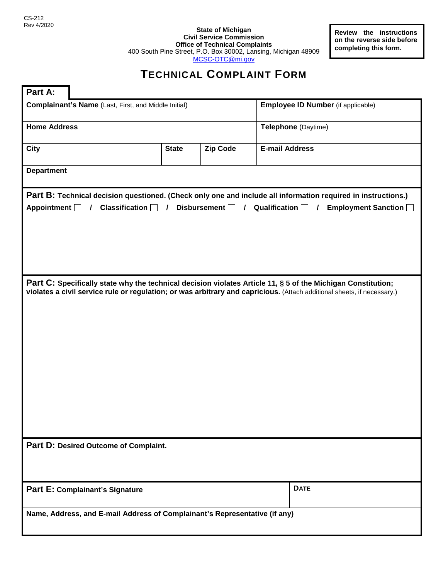**State of Michigan Civil Service Commission Office of Technical Complaints** 400 South Pine Street, P.O. Box 30002, Lansing, Michigan 48909 [MCSC-OTC@mi.gov](mailto:MCSC-OTC@mi.gov)

**Review the instructions on the reverse side before completing this form.**

## **TECHNICAL COMPLAINT FORM**

| Part A:                                                                                                                                                                                                                               |              |                 |                                                                                                                                                                                                                                         |
|---------------------------------------------------------------------------------------------------------------------------------------------------------------------------------------------------------------------------------------|--------------|-----------------|-----------------------------------------------------------------------------------------------------------------------------------------------------------------------------------------------------------------------------------------|
| <b>Complainant's Name</b> (Last, First, and Middle Initial)                                                                                                                                                                           |              |                 | <b>Employee ID Number</b> (if applicable)                                                                                                                                                                                               |
| <b>Home Address</b>                                                                                                                                                                                                                   |              |                 | Telephone (Daytime)                                                                                                                                                                                                                     |
| <b>City</b>                                                                                                                                                                                                                           | <b>State</b> | <b>Zip Code</b> | <b>E-mail Address</b>                                                                                                                                                                                                                   |
| <b>Department</b>                                                                                                                                                                                                                     |              |                 |                                                                                                                                                                                                                                         |
| Part B: Technical decision questioned. (Check only one and include all information required in instructions.)<br>Appointment $\Box$ / Classification $\Box$ / Disbursement $\Box$ / Qualification $\Box$ / Employment Sanction $\Box$ |              |                 |                                                                                                                                                                                                                                         |
|                                                                                                                                                                                                                                       |              |                 | Part C: Specifically state why the technical decision violates Article 11, § 5 of the Michigan Constitution;<br>violates a civil service rule or regulation; or was arbitrary and capricious. (Attach additional sheets, if necessary.) |
| Part D: Desired Outcome of Complaint.                                                                                                                                                                                                 |              |                 |                                                                                                                                                                                                                                         |
| Part E: Complainant's Signature                                                                                                                                                                                                       |              |                 | <b>DATE</b>                                                                                                                                                                                                                             |
| Name, Address, and E-mail Address of Complainant's Representative (if any)                                                                                                                                                            |              |                 |                                                                                                                                                                                                                                         |